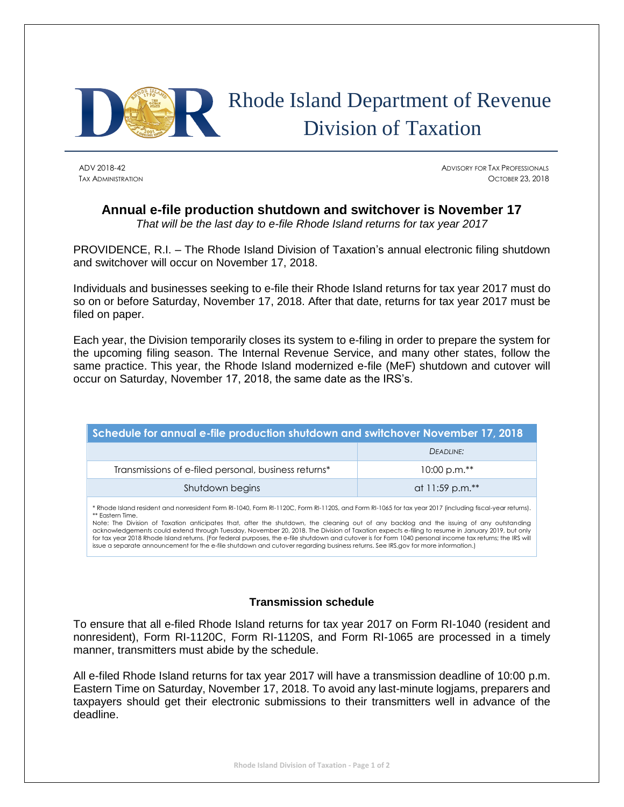

## Rhode Island Department of Revenue Division of Taxation

ADV 2018-42 ADVISORY FOR TAX PROFESSIONALS TAX ADMINISTRATION CONTROL CONTROL CONTROL CONTROL CONTROL CONTROL CONTROL CONTROL CONTROL CONTROL CONTROL CONTROL CONTROL CONTROL CONTROL CONTROL CONTROL CONTROL CONTROL CONTROL CONTROL CONTROL CONTROL CONTROL CONTROL CON

## **Annual e-file production shutdown and switchover is November 17**

*That will be the last day to e-file Rhode Island returns for tax year 2017*

PROVIDENCE, R.I. – The Rhode Island Division of Taxation's annual electronic filing shutdown and switchover will occur on November 17, 2018.

Individuals and businesses seeking to e-file their Rhode Island returns for tax year 2017 must do so on or before Saturday, November 17, 2018. After that date, returns for tax year 2017 must be filed on paper.

Each year, the Division temporarily closes its system to e-filing in order to prepare the system for the upcoming filing season. The Internal Revenue Service, and many other states, follow the same practice. This year, the Rhode Island modernized e-file (MeF) shutdown and cutover will occur on Saturday, November 17, 2018, the same date as the IRS's.

| Schedule for annual e-file production shutdown and switchover November 17, 2018 |                   |
|---------------------------------------------------------------------------------|-------------------|
|                                                                                 | DEADLINE:         |
| Transmissions of e-filed personal, business returns*                            | $10:00$ p.m. $**$ |
| Shutdown begins                                                                 | at 11:59 p.m.**   |
|                                                                                 |                   |

\* Rhode Island resident and nonresident Form RI-1040, Form RI-1120C, Form RI-1120S, and Form RI-1065 for tax year 2017 (including fiscal-year returns). \*\* Eastern Time.

Note: The Division of Taxation anticipates that, after the shutdown, the cleaning out of any backlog and the issuing of any outstanding acknowledgements could extend through Tuesday, November 20, 2018. The Division of Taxation expects e-filing to resume in January 2019, but only for tax year 2018 Rhode Island returns. (For federal purposes, the e-file shutdown and cutover is for Form 1040 personal income tax returns; the IRS will issue a separate announcement for the e-file shutdown and cutover regarding business returns. See IRS.gov for more information.)

## **Transmission schedule**

To ensure that all e-filed Rhode Island returns for tax year 2017 on Form RI-1040 (resident and nonresident), Form RI-1120C, Form RI-1120S, and Form RI-1065 are processed in a timely manner, transmitters must abide by the schedule.

All e-filed Rhode Island returns for tax year 2017 will have a transmission deadline of 10:00 p.m. Eastern Time on Saturday, November 17, 2018. To avoid any last-minute logjams, preparers and taxpayers should get their electronic submissions to their transmitters well in advance of the deadline.